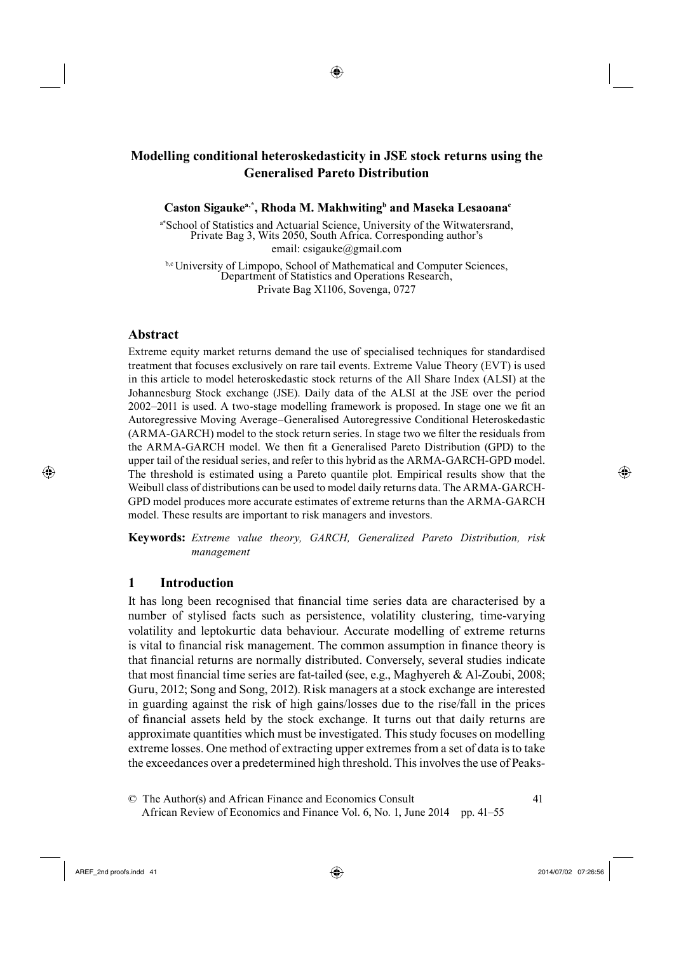## ◈

# <sup>4</sup>**Modelling conditional heteroskedasticity in JSE stock returns using the Generalised Pareto Distribution**

**Caston Sigaukea,\* , Rhoda M. Makhwiting<sup>b</sup> and Maseka Lesaoana<sup>c</sup>**

a\*School of Statistics and Actuarial Science, University of the Witwatersrand, Private Bag 3, Wits 2050, South Africa. Corresponding author's email: csigauke@gmail.com

b,c University of Limpopo, School of Mathematical and Computer Sciences, Department of Statistics and Operations Research, Private Bag X1106, Sovenga, 0727

### **Abstract**

⊕

Extreme equity market returns demand the use of specialised techniques for standardised treatment that focuses exclusively on rare tail events. Extreme Value Theory (EVT) is used in this article to model heteroskedastic stock returns of the All Share Index (ALSI) at the Johannesburg Stock exchange (JSE). Daily data of the ALSI at the JSE over the period 2002–2011 is used. A two-stage modelling framework is proposed. In stage one we fi t an Autoregressive Moving Average–Generalised Autoregressive Conditional Heteroskedastic (ARMA-GARCH) model to the stock return series. In stage two we filter the residuals from the ARMA-GARCH model. We then fit a Generalised Pareto Distribution (GPD) to the upper tail of the residual series, and refer to this hybrid as the ARMA-GARCH-GPD model. The threshold is estimated using a Pareto quantile plot. Empirical results show that the Weibull class of distributions can be used to model daily returns data. The ARMA-GARCH-GPD model produces more accurate estimates of extreme returns than the ARMA-GARCH model. These results are important to risk managers and investors.

**Keywords:** *Extreme value theory, GARCH, Generalized Pareto Distribution, risk management*

#### **1 Introduction**

It has long been recognised that financial time series data are characterised by a number of stylised facts such as persistence, volatility clustering, time-varying volatility and leptokurtic data behaviour. Accurate modelling of extreme returns is vital to financial risk management. The common assumption in finance theory is that financial returns are normally distributed. Conversely, several studies indicate that most financial time series are fat-tailed (see, e.g., Maghyereh & Al-Zoubi, 2008; Guru, 2012; Song and Song, 2012). Risk managers at a stock exchange are interested in guarding against the risk of high gains/losses due to the rise/fall in the prices of financial assets held by the stock exchange. It turns out that daily returns are approximate quantities which must be investigated. This study focuses on modelling extreme losses. One method of extracting upper extremes from a set of data is to take the exceedances over a predetermined high threshold. This involves the use of Peaks-

23© The Author(s) and African Finance and Economics Consult 41 African Review of Economics and Finance Vol. 6, No. 1, June 2014 pp. 41–55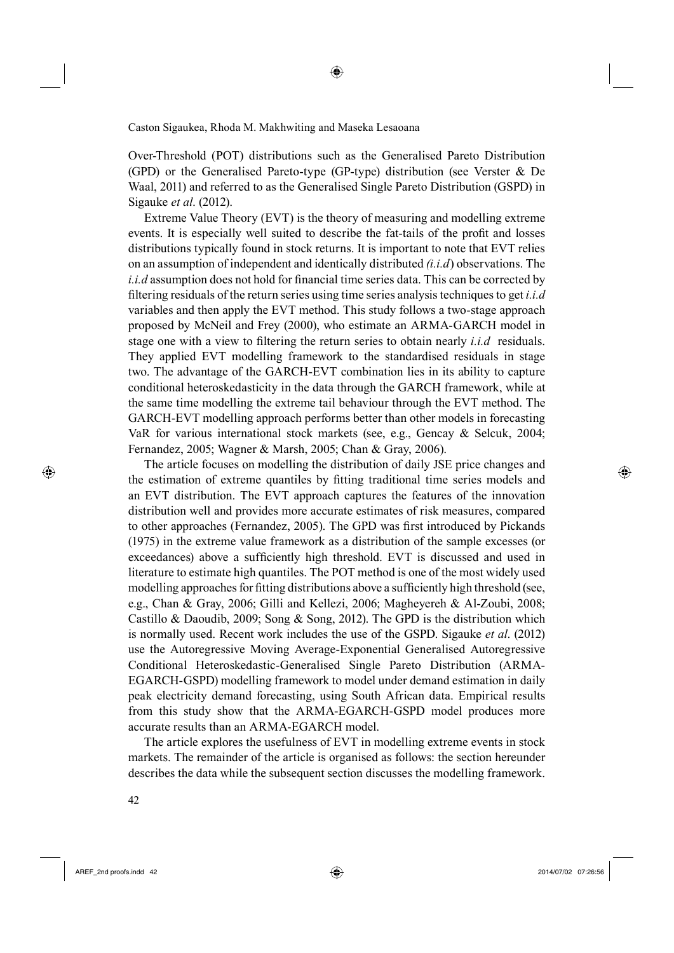Over-Threshold (POT) distributions such as the Generalised Pareto Distribution (GPD) or the Generalised Pareto-type (GP-type) distribution (see Verster & De Waal, 2011) and referred to as the Generalised Single Pareto Distribution (GSPD) in Sigauke *et al*. (2012).

◈

Extreme Value Theory (EVT) is the theory of measuring and modelling extreme events. It is especially well suited to describe the fat-tails of the profit and losses distributions typically found in stock returns. It is important to note that EVT relies on an assumption of independent and identically distributed *(i.i.d*) observations. The  $i.i.d$  assumption does not hold for financial time series data. This can be corrected by fi ltering residuals of the return series using time series analysis techniques to get *i.i.d*  variables and then apply the EVT method. This study follows a two-stage approach proposed by McNeil and Frey (2000), who estimate an ARMA-GARCH model in stage one with a view to filtering the return series to obtain nearly *i.i.d* residuals. They applied EVT modelling framework to the standardised residuals in stage two. The advantage of the GARCH-EVT combination lies in its ability to capture conditional heteroskedasticity in the data through the GARCH framework, while at the same time modelling the extreme tail behaviour through the EVT method. The GARCH-EVT modelling approach performs better than other models in forecasting VaR for various international stock markets (see, e.g., Gencay & Selcuk, 2004; Fernandez, 2005; Wagner & Marsh, 2005; Chan & Gray, 2006).

The article focuses on modelling the distribution of daily JSE price changes and the estimation of extreme quantiles by fitting traditional time series models and an EVT distribution. The EVT approach captures the features of the innovation distribution well and provides more accurate estimates of risk measures, compared to other approaches (Fernandez, 2005). The GPD was first introduced by Pickands (1975) in the extreme value framework as a distribution of the sample excesses (or exceedances) above a sufficiently high threshold. EVT is discussed and used in literature to estimate high quantiles. The POT method is one of the most widely used modelling approaches for fitting distributions above a sufficiently high threshold (see, e.g., Chan & Gray, 2006; Gilli and Kellezi, 2006; Magheyereh & Al-Zoubi, 2008; Castillo & Daoudib, 2009; Song & Song, 2012). The GPD is the distribution which is normally used. Recent work includes the use of the GSPD. Sigauke *et al*. (2012) use the Autoregressive Moving Average-Exponential Generalised Autoregressive Conditional Heteroskedastic-Generalised Single Pareto Distribution (ARMA-EGARCH-GSPD) modelling framework to model under demand estimation in daily peak electricity demand forecasting, using South African data. Empirical results from this study show that the ARMA-EGARCH-GSPD model produces more accurate results than an ARMA-EGARCH model.

The article explores the usefulness of EVT in modelling extreme events in stock markets. The remainder of the article is organised as follows: the section hereunder describes the data while the subsequent section discusses the modelling framework.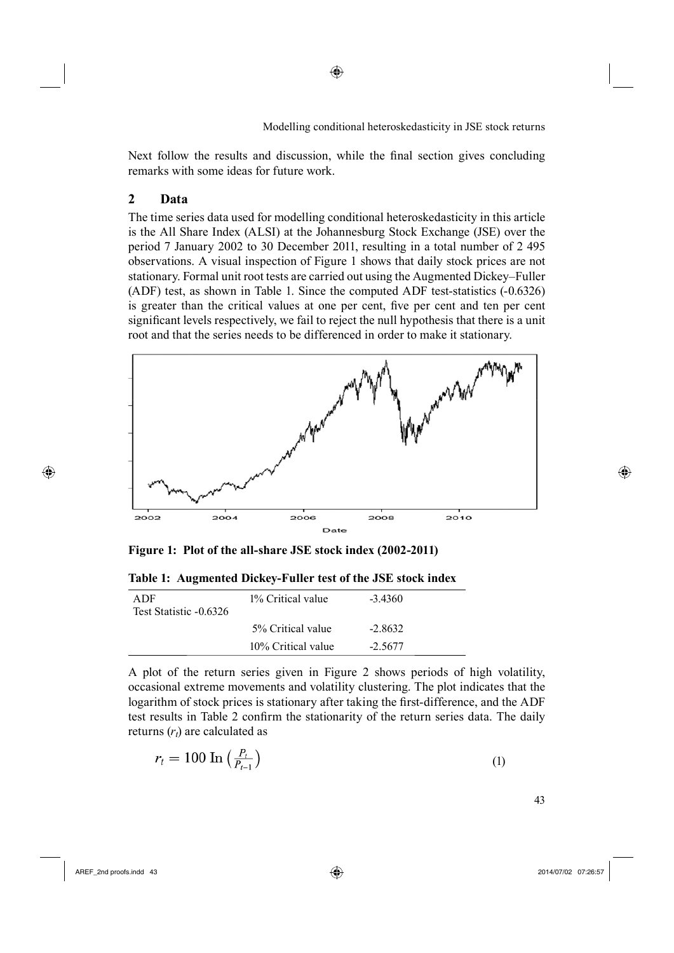Next follow the results and discussion, while the final section gives concluding remarks with some ideas for future work.

◈

### **2 Data**

The time series data used for modelling conditional heteroskedasticity in this article is the All Share Index (ALSI) at the Johannesburg Stock Exchange (JSE) over the period 7 January 2002 to 30 December 2011, resulting in a total number of 2 495 observations. A visual inspection of Figure 1 shows that daily stock prices are not stationary. Formal unit root tests are carried out using the Augmented Dickey–Fuller (ADF) test, as shown in Table 1. Since the computed ADF test-statistics (-0.6326) is greater than the critical values at one per cent, five per cent and ten per cent significant levels respectively, we fail to reject the null hypothesis that there is a unit root and that the series needs to be differenced in order to make it stationary.



**Figure 1: Plot of the all-share JSE stock index (2002-2011)**

**Table 1: Augmented Dickey-Fuller test of the JSE stock index**

| A DF<br>Test Statistic -0.6326 | 1% Critical value  | $-3.4360$ |
|--------------------------------|--------------------|-----------|
|                                | 5% Critical value  | $-2.8632$ |
|                                | 10% Critical value | $-2.5677$ |

A plot of the return series given in Figure 2 shows periods of high volatility, occasional extreme movements and volatility clustering. The plot indicates that the logarithm of stock prices is stationary after taking the first-difference, and the ADF test results in Table 2 confirm the stationarity of the return series data. The daily returns  $(r_t)$  are calculated as

$$
r_t = 100 \ln \left( \frac{P_t}{P_{t-1}} \right) \tag{1}
$$

⊕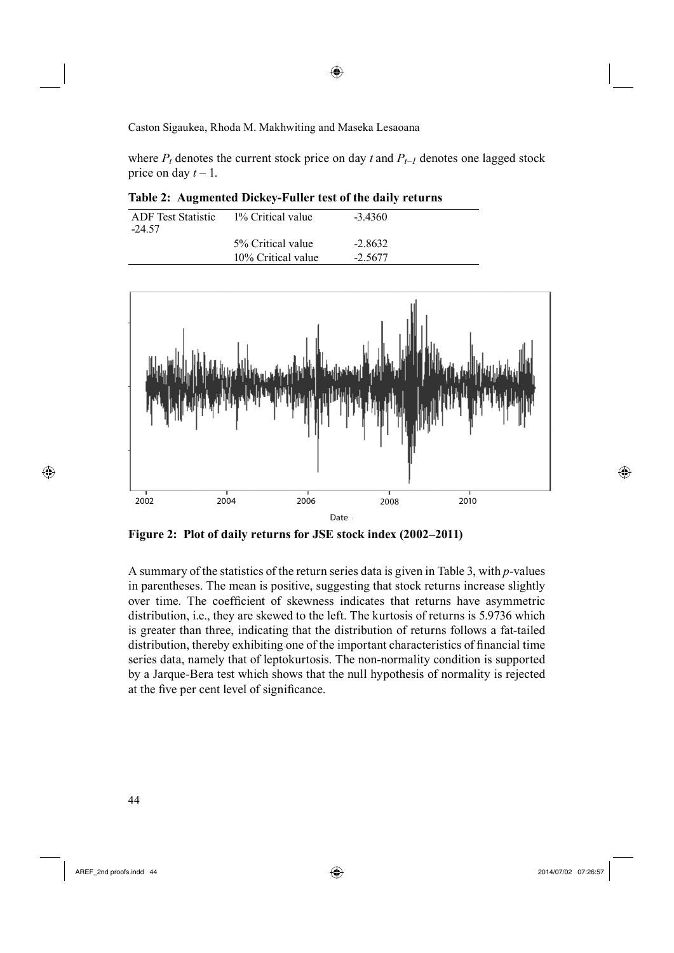where  $P_t$  denotes the current stock price on day  $t$  and  $P_{t-1}$  denotes one lagged stock price on day  $t - 1$ .

◈

**Table 2: Augmented Dickey-Fuller test of the daily returns**

| ADF Test Statistic | 1% Critical value  | $-3,4360$ |  |
|--------------------|--------------------|-----------|--|
| -24.57             |                    |           |  |
|                    | 5% Critical value  | $-2.8632$ |  |
|                    | 10% Critical value | $-2.5677$ |  |



**Figure 2: Plot of daily returns for JSE stock index (2002–2011)**

A summary of the statistics of the return series data is given in Table 3, with *p*-values in parentheses. The mean is positive, suggesting that stock returns increase slightly over time. The coefficient of skewness indicates that returns have asymmetric distribution, i.e., they are skewed to the left. The kurtosis of returns is 5.9736 which is greater than three, indicating that the distribution of returns follows a fat-tailed distribution, thereby exhibiting one of the important characteristics of financial time series data, namely that of leptokurtosis. The non-normality condition is supported by a Jarque-Bera test which shows that the null hypothesis of normality is rejected at the five per cent level of significance.

⊕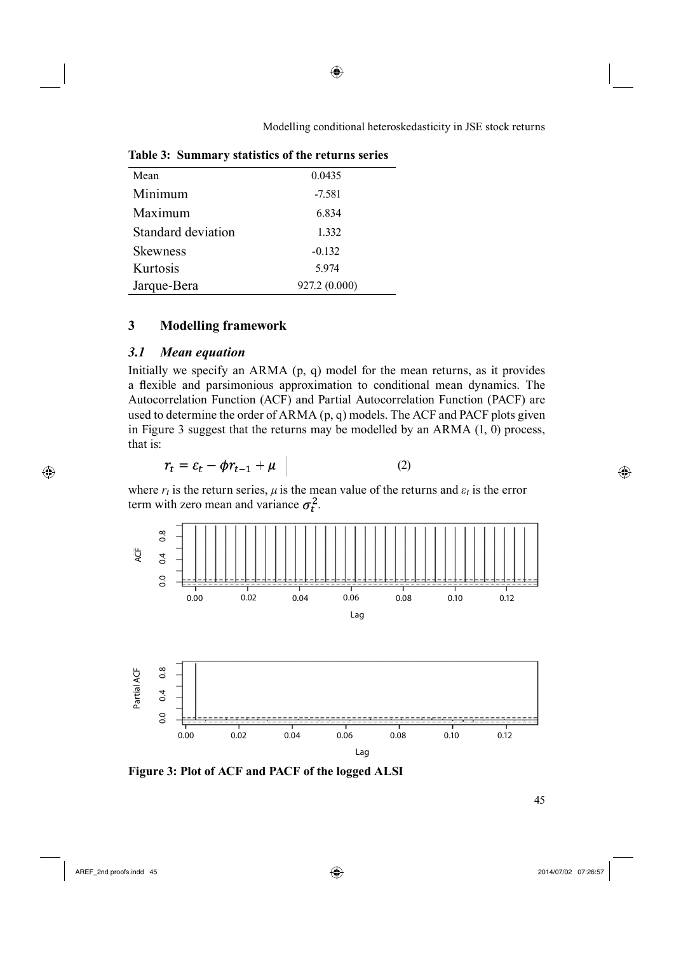| Mean               | 0.0435        |
|--------------------|---------------|
| Minimum            | $-7.581$      |
| Maximum            | 6.834         |
| Standard deviation | 1.332         |
| <b>Skewness</b>    | $-0.132$      |
| Kurtosis           | 5.974         |
| Jarque-Bera        | 927.2 (0.000) |

**Table 3: Summary statistics of the returns series**

# **3 Modelling framework**

## *3.1 Mean equation*

Initially we specify an ARMA (p, q) model for the mean returns, as it provides a flexible and parsimonious approximation to conditional mean dynamics. The Autocorrelation Function (ACF) and Partial Autocorrelation Function (PACF) are used to determine the order of ARMA (p, q) models. The ACF and PACF plots given in Figure 3 suggest that the returns may be modelled by an ARMA (1, 0) process, that is:

$$
r_t = \varepsilon_t - \phi r_{t-1} + \mu \tag{2}
$$

where  $r_t$  is the return series,  $\mu$  is the mean value of the returns and  $\varepsilon_t$  is the error term with zero mean and variance  $\sigma_t^2$ .



**Figure 3: Plot of ACF and PACF of the logged ALSI**

 $\frac{45}{45}$ 

 $\bigoplus$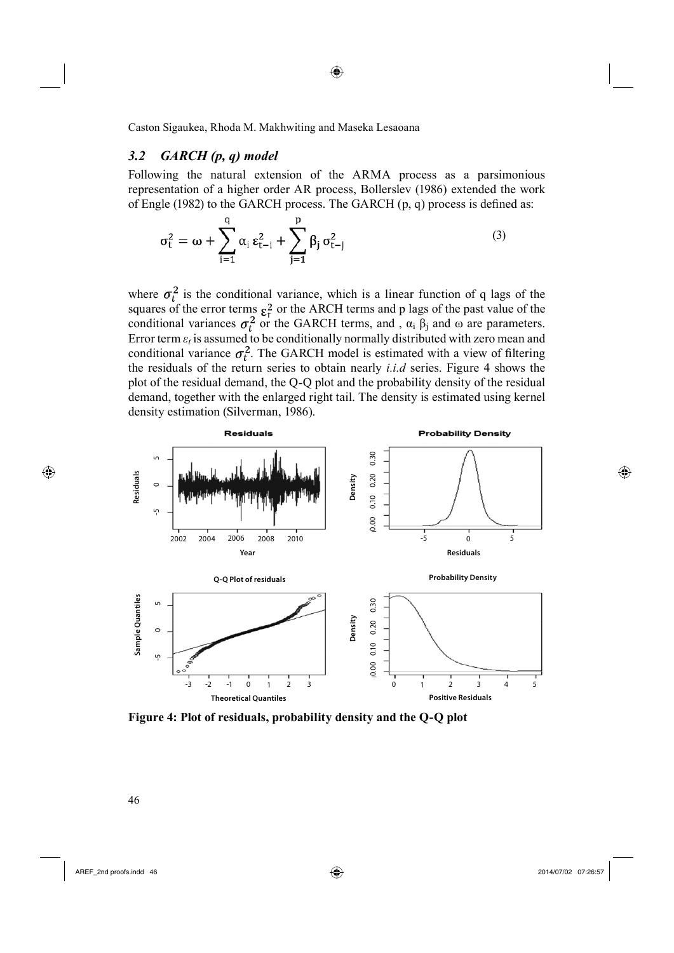### *3.2 GARCH (p, q) model*

Following the natural extension of the ARMA process as a parsimonious representation of a higher order AR process, Bollerslev (1986) extended the work of Engle (1982) to the GARCH process. The GARCH  $(p, q)$  process is defined as:

◈

$$
\sigma_t^2 = \omega + \sum_{i=1}^q \alpha_i \, \epsilon_{t-i}^2 + \sum_{j=1}^p \beta_j \, \sigma_{t-j}^2 \tag{3}
$$

where  $\sigma_t^2$  is the conditional variance, which is a linear function of q lags of the squares of the error terms  $\epsilon_t^2$  or the ARCH terms and p lags of the past value of the conditional variances  $\sigma_t^2$  or the GARCH terms, and,  $\alpha_i$   $\beta_j$  and  $\omega$  are parameters. Error term  $\varepsilon_t$  is assumed to be conditionally normally distributed with zero mean and conditional variance  $\sigma_t^2$ . The GARCH model is estimated with a view of filtering the residuals of the return series to obtain nearly *i.i.d* series. Figure 4 shows the plot of the residual demand, the Q-Q plot and the probability density of the residual demand, together with the enlarged right tail. The density is estimated using kernel density estimation (Silverman, 1986).



⊕

AREF\_2nd proofs.indd 46 2014/07/02 07:26:57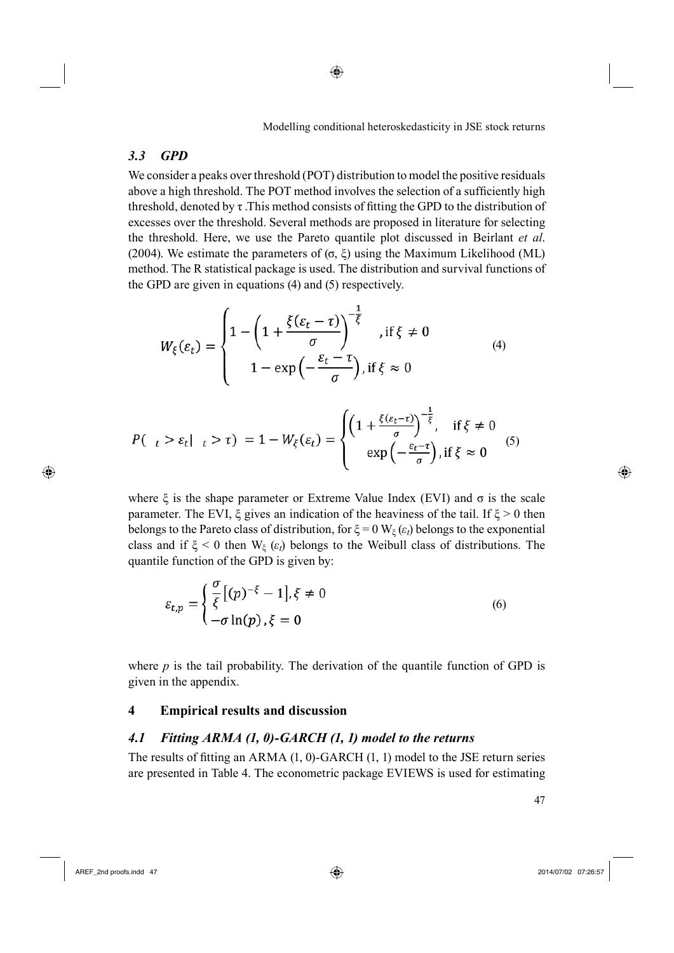# *3.3 GPD*

We consider a peaks over threshold (POT) distribution to model the positive residuals above a high threshold. The POT method involves the selection of a sufficiently high threshold, denoted by  $\tau$ . This method consists of fitting the GPD to the distribution of excesses over the threshold. Several methods are proposed in literature for selecting the threshold. Here, we use the Pareto quantile plot discussed in Beirlant *et al*. (2004). We estimate the parameters of  $(σ, ξ)$  using the Maximum Likelihood (ML) method. The R statistical package is used. The distribution and survival functions of the GPD are given in equations (4) and (5) respectively.

$$
W_{\xi}(\varepsilon_{t}) = \begin{cases} 1 - \left(1 + \frac{\xi(\varepsilon_{t} - \tau)}{\sigma}\right)^{-\frac{1}{\xi}} & \text{if } \xi \neq 0\\ 1 - \exp\left(-\frac{\varepsilon_{t} - \tau}{\sigma}\right), \text{if } \xi \approx 0 \end{cases} \tag{4}
$$

$$
P(\begin{array}{cc} t > \varepsilon_t | & t > \tau \end{array}) = 1 - W_{\xi}(\varepsilon_t) = \begin{cases} \left(1 + \frac{\xi(\varepsilon_t - \tau)}{\sigma}\right)^{-\frac{1}{\xi}}, & \text{if } \xi \neq 0\\ \exp\left(-\frac{\varepsilon_t - \tau}{\sigma}\right), & \text{if } \xi \approx 0 \end{cases}
$$
 (5)

where  $\xi$  is the shape parameter or Extreme Value Index (EVI) and  $\sigma$  is the scale parameter. The EVI,  $\xi$  gives an indication of the heaviness of the tail. If  $\xi > 0$  then belongs to the Pareto class of distribution, for  $\xi = 0$  W<sub> $\xi$ </sub> ( $\varepsilon$ <sup>*t*</sup>) belongs to the exponential class and if  $\xi$  < 0 then W<sub> $\xi$ </sub> ( $\varepsilon$ <sub>*t*</sub>) belongs to the Weibull class of distributions. The quantile function of the GPD is given by:

$$
\varepsilon_{t,p} = \begin{cases} \frac{\sigma}{\xi} [(p)^{-\xi} - 1], \xi \neq 0\\ -\sigma \ln(p), \xi = 0 \end{cases}
$$
 (6)

where  $p$  is the tail probability. The derivation of the quantile function of GPD is given in the appendix.

## **4 Empirical results and discussion**

## *4.1 Fitting ARMA (1, 0)-GARCH (1, 1) model to the returns*

The results of fitting an ARMA  $(1, 0)$ -GARCH  $(1, 1)$  model to the JSE return series are presented in Table 4. The econometric package EVIEWS is used for estimating

⊕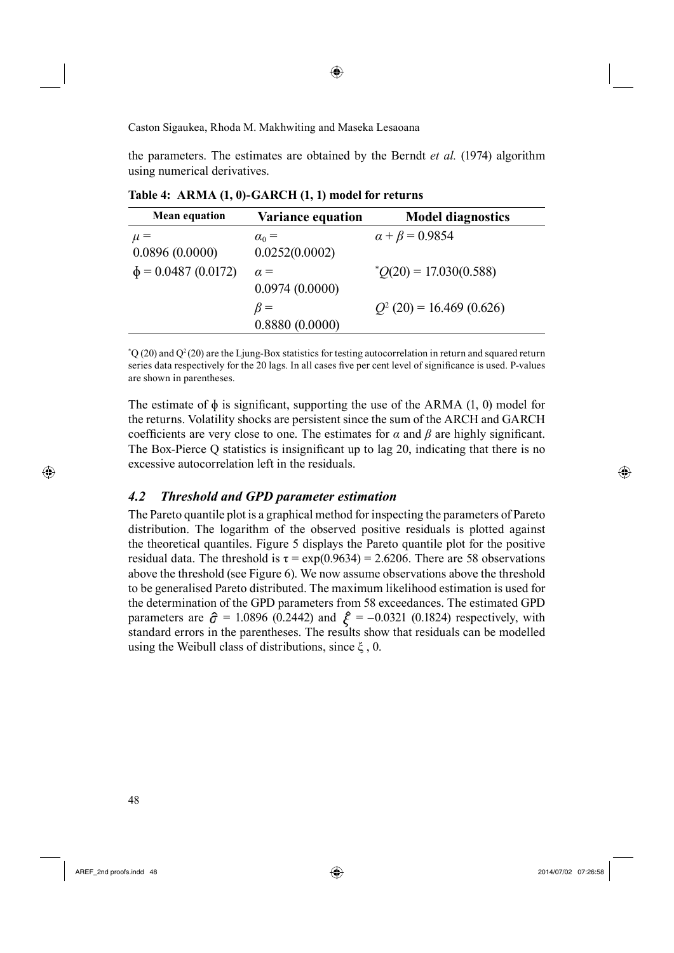the parameters. The estimates are obtained by the Berndt *et al.* (1974) algorithm using numerical derivatives.

**Table 4: ARMA (1, 0)-GARCH (1, 1) model for returns**

| <b>Mean equation</b>     | <b>Variance equation</b> | <b>Model diagnostics</b>    |
|--------------------------|--------------------------|-----------------------------|
| $\mu =$                  | $\alpha_0 =$             | $\alpha + \beta = 0.9854$   |
| 0.0896(0.0000)           | 0.0252(0.0002)           |                             |
| $\phi$ = 0.0487 (0.0172) | $\alpha =$               | $^*O(20) = 17.030(0.588)$   |
|                          | 0.0974(0.0000)           |                             |
|                          | $\beta =$                | $Q^2$ (20) = 16.469 (0.626) |
|                          | 0.8880(0.0000)           |                             |

 $^{\circ}Q$  (20) and  $Q^2$  (20) are the Ljung-Box statistics for testing autocorrelation in return and squared return series data respectively for the 20 lags. In all cases five per cent level of significance is used. P-values are shown in parentheses.

The estimate of  $\phi$  is significant, supporting the use of the ARMA (1, 0) model for the returns. Volatility shocks are persistent since the sum of the ARCH and GARCH coefficients are very close to one. The estimates for  $\alpha$  and  $\beta$  are highly significant. The Box-Pierce  $Q$  statistics is insignificant up to lag 20, indicating that there is no excessive autocorrelation left in the residuals.

#### *4.2 Threshold and GPD parameter estimation*

The Pareto quantile plot is a graphical method for inspecting the parameters of Pareto distribution. The logarithm of the observed positive residuals is plotted against the theoretical quantiles. Figure 5 displays the Pareto quantile plot for the positive residual data. The threshold is  $\tau = \exp(0.9634) = 2.6206$ . There are 58 observations above the threshold (see Figure 6). We now assume observations above the threshold to be generalised Pareto distributed. The maximum likelihood estimation is used for the determination of the GPD parameters from 58 exceedances. The estimated GPD parameters are  $\hat{\sigma}$  = 1.0896 (0.2442) and  $\hat{\xi}$  = -0.0321 (0.1824) respectively, with standard errors in the parentheses. The results show that residuals can be modelled using the Weibull class of distributions, since  $\xi$ , 0.

48

⊕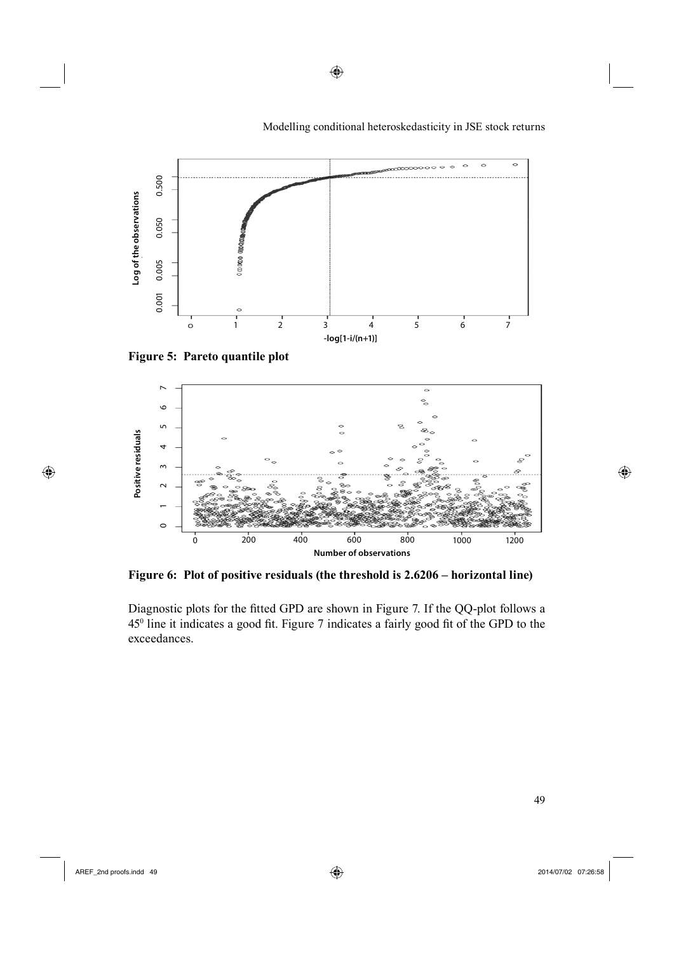

⊕

Modelling conditional heteroskedasticity in JSE stock returns

**Figure 5: Pareto quantile plot**



**Figure 6: Plot of positive residuals (the threshold is 2.6206 – horizontal line)**

Diagnostic plots for the fitted GPD are shown in Figure 7. If the QQ-plot follows a 45<sup>0</sup> line it indicates a good fit. Figure 7 indicates a fairly good fit of the GPD to the exceedances.

 $\bigoplus$ 

 $\bigoplus$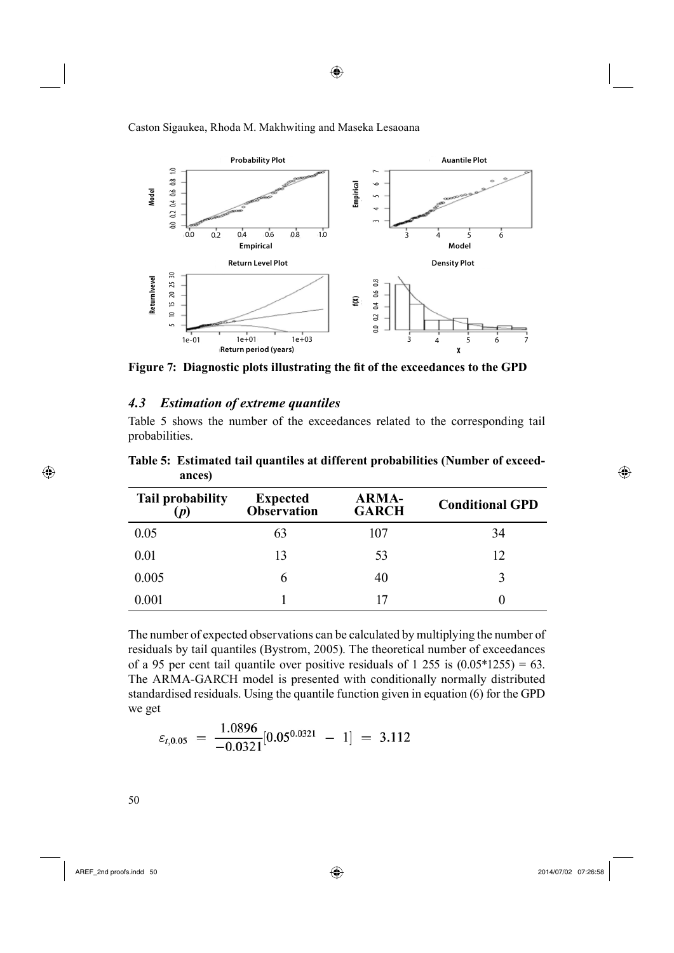

Figure 7: Diagnostic plots illustrating the fit of the exceedances to the GPD

### *4.3 Estimation of extreme quantiles*

Table 5 shows the number of the exceedances related to the corresponding tail probabilities.

| <b>Tail probability</b> | <b>Expected</b><br><b>Observation</b> | <b>ARMA-</b><br><b>GARCH</b> | <b>Conditional GPD</b> |
|-------------------------|---------------------------------------|------------------------------|------------------------|
| 0.05                    | 63                                    | 107                          | 34                     |
| 0.01                    | 13                                    | 53                           | 12                     |
| 0.005                   | 6                                     | 40                           | 3                      |
| 0.001                   |                                       |                              |                        |

**Table 5: Estimated tail quantiles at different probabilities (Number of exceedances)**

The number of expected observations can be calculated by multiplying the number of residuals by tail quantiles (Bystrom, 2005). The theoretical number of exceedances of a 95 per cent tail quantile over positive residuals of 1 255 is  $(0.05*1255) = 63$ . The ARMA-GARCH model is presented with conditionally normally distributed standardised residuals. Using the quantile function given in equation (6) for the GPD we get

$$
\varepsilon_{t,0.05} = \frac{1.0896}{-0.0321} [0.05^{0.0321} - 1] = 3.112
$$

 $\bigoplus$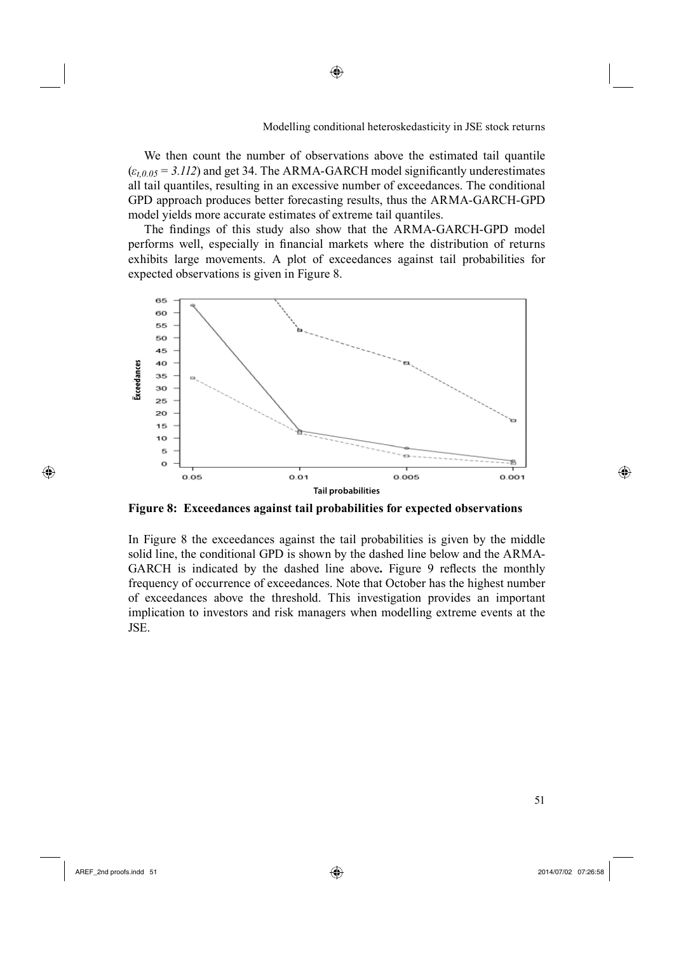We then count the number of observations above the estimated tail quantile  $(\varepsilon_{t,0.05} = 3.112)$  and get 34. The ARMA-GARCH model significantly underestimates all tail quantiles, resulting in an excessive number of exceedances. The conditional GPD approach produces better forecasting results, thus the ARMA-GARCH-GPD model yields more accurate estimates of extreme tail quantiles.

◈

The findings of this study also show that the ARMA-GARCH-GPD model performs well, especially in financial markets where the distribution of returns exhibits large movements. A plot of exceedances against tail probabilities for expected observations is given in Figure 8.



**Figure 8: Exceedances against tail probabilities for expected observations**

In Figure 8 the exceedances against the tail probabilities is given by the middle solid line, the conditional GPD is shown by the dashed line below and the ARMA-GARCH is indicated by the dashed line above. Figure 9 reflects the monthly frequency of occurrence of exceedances. Note that October has the highest number of exceedances above the threshold. This investigation provides an important implication to investors and risk managers when modelling extreme events at the JSE.

 $\sim$  51

⊕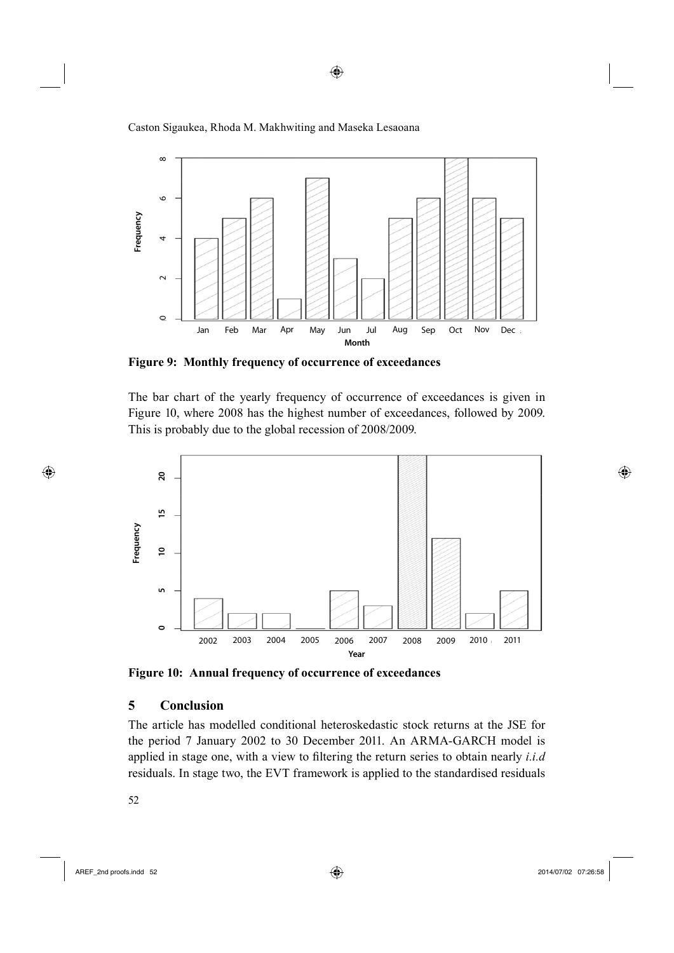



◈

**Figure 9: Monthly frequency of occurrence of exceedances**

The bar chart of the yearly frequency of occurrence of exceedances is given in Figure 10, where 2008 has the highest number of exceedances, followed by 2009. This is probably due to the global recession of 2008/2009.



**Figure 10: Annual frequency of occurrence of exceedances**

## **5 Conclusion**

The article has modelled conditional heteroskedastic stock returns at the JSE for the period 7 January 2002 to 30 December 2011. An ARMA-GARCH model is applied in stage one, with a view to filtering the return series to obtain nearly *i.i.d* 

52

 $\bigoplus$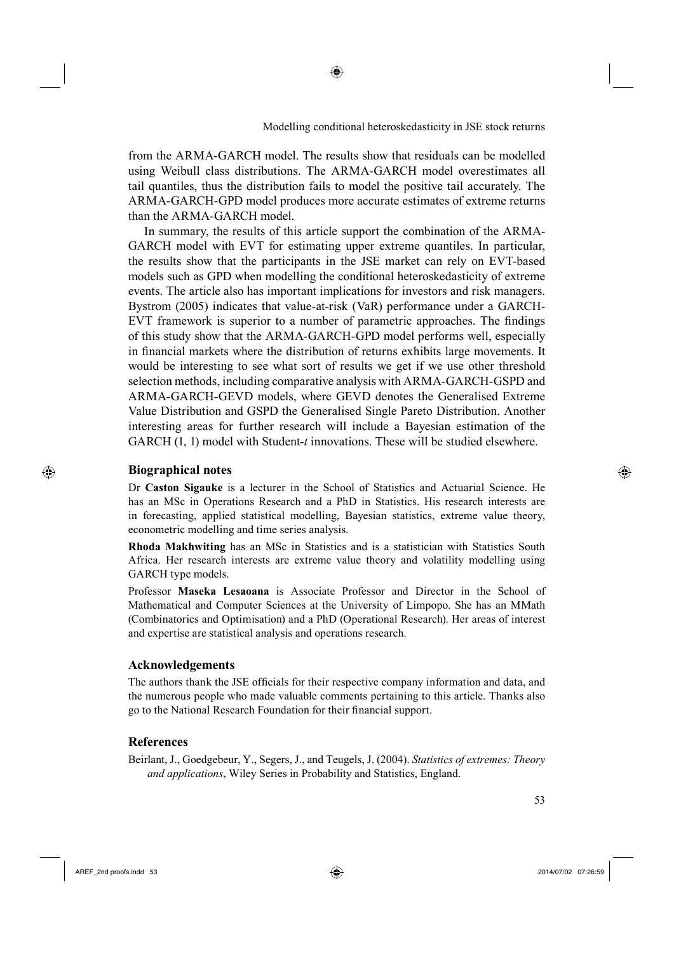from the ARMA-GARCH model. The results show that residuals can be modelled using Weibull class distributions. The ARMA-GARCH model overestimates all tail quantiles, thus the distribution fails to model the positive tail accurately. The ARMA-GARCH-GPD model produces more accurate estimates of extreme returns than the ARMA-GARCH model.

In summary, the results of this article support the combination of the ARMA-GARCH model with EVT for estimating upper extreme quantiles. In particular, the results show that the participants in the JSE market can rely on EVT-based models such as GPD when modelling the conditional heteroskedasticity of extreme events. The article also has important implications for investors and risk managers. Bystrom (2005) indicates that value-at-risk (VaR) performance under a GARCH-EVT framework is superior to a number of parametric approaches. The findings of this study show that the ARMA-GARCH-GPD model performs well, especially in financial markets where the distribution of returns exhibits large movements. It would be interesting to see what sort of results we get if we use other threshold selection methods, including comparative analysis with ARMA-GARCH-GSPD and ARMA-GARCH-GEVD models, where GEVD denotes the Generalised Extreme Value Distribution and GSPD the Generalised Single Pareto Distribution. Another interesting areas for further research will include a Bayesian estimation of the GARCH (1, 1) model with Student-*t* innovations. These will be studied elsewhere.

### **Biographical notes**

⊕

Dr **Caston Sigauke** is a lecturer in the School of Statistics and Actuarial Science. He has an MSc in Operations Research and a PhD in Statistics. His research interests are in forecasting, applied statistical modelling, Bayesian statistics, extreme value theory, econometric modelling and time series analysis.

**Rhoda Makhwiting** has an MSc in Statistics and is a statistician with Statistics South Africa. Her research interests are extreme value theory and volatility modelling using GARCH type models.

Professor **Maseka Lesaoana** is Associate Professor and Director in the School of Mathematical and Computer Sciences at the University of Limpopo. She has an MMath (Combinatorics and Optimisation) and a PhD (Operational Research). Her areas of interest and expertise are statistical analysis and operations research.

#### **Acknowledgements**

The authors thank the JSE officials for their respective company information and data, and the numerous people who made valuable comments pertaining to this article. Thanks also go to the National Research Foundation for their financial support.

#### **References**

Beirlant, J., Goedgebeur, Y., Segers, J., and Teugels, J. (2004). *Statistics of extremes: Theory and applications*, Wiley Series in Probability and Statistics, England.

AREF\_2nd proofs.indd 53 2014/07/02 07:26:59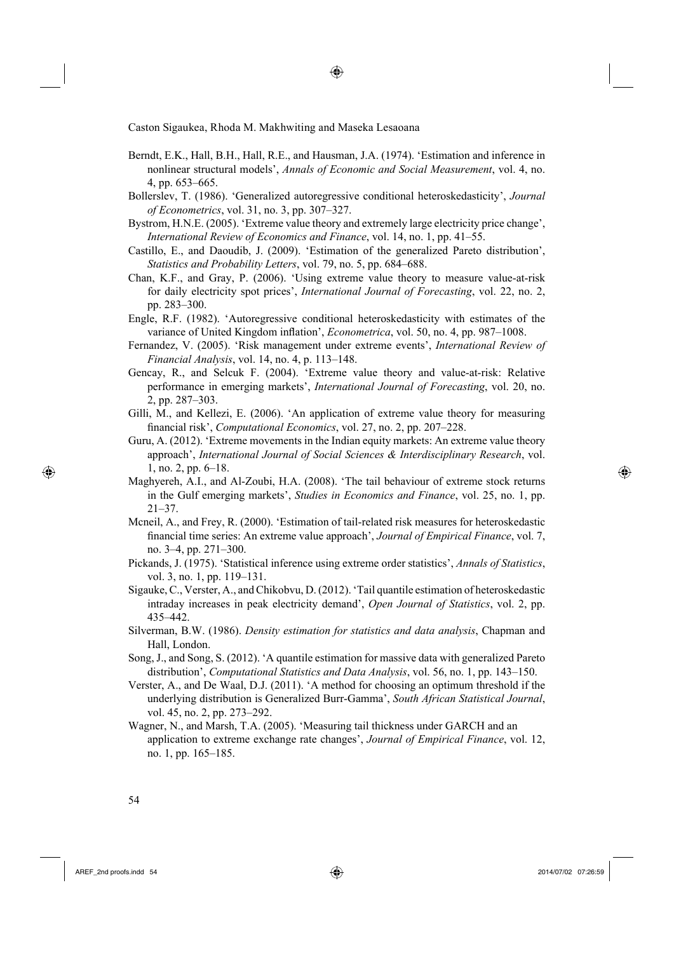Berndt, E.K., Hall, B.H., Hall, R.E., and Hausman, J.A. (1974). 'Estimation and inference in nonlinear structural models', *Annals of Economic and Social Measurement*, vol. 4, no. 4, pp. 653–665.

◈

- Bollerslev, T. (1986). 'Generalized autoregressive conditional heteroskedasticity', *Journal of Econometrics*, vol. 31, no. 3, pp. 307–327.
- Bystrom, H.N.E. (2005). 'Extreme value theory and extremely large electricity price change', *International Review of Economics and Finance*, vol. 14, no. 1, pp. 41–55.
- Castillo, E., and Daoudib, J. (2009). 'Estimation of the generalized Pareto distribution', *Statistics and Probability Letters*, vol. 79, no. 5, pp. 684–688.
- Chan, K.F., and Gray, P. (2006). 'Using extreme value theory to measure value-at-risk for daily electricity spot prices', *International Journal of Forecasting*, vol. 22, no. 2, pp. 283–300.
- Engle, R.F. (1982). 'Autoregressive conditional heteroskedasticity with estimates of the variance of United Kingdom inflation', *Econometrica*, vol. 50, no. 4, pp. 987–1008.
- Fernandez, V. (2005). 'Risk management under extreme events', *International Review of Financial Analysis*, vol. 14, no. 4, p. 113–148.
- Gencay, R., and Selcuk F. (2004). 'Extreme value theory and value-at-risk: Relative performance in emerging markets', *International Journal of Forecasting*, vol. 20, no. 2, pp. 287–303.
- Gilli, M., and Kellezi, E. (2006). 'An application of extreme value theory for measuring financial risk', *Computational Economics*, vol. 27, no. 2, pp. 207–228.
- Guru, A. (2012). 'Extreme movements in the Indian equity markets: An extreme value theory approach', *International Journal of Social Sciences & Interdisciplinary Research*, vol. 1, no. 2, pp. 6–18.
- Maghyereh, A.I., and Al-Zoubi, H.A. (2008). 'The tail behaviour of extreme stock returns in the Gulf emerging markets', *Studies in Economics and Finance*, vol. 25, no. 1, pp. 21–37.
- Mcneil, A., and Frey, R. (2000). 'Estimation of tail-related risk measures for heteroskedastic fi nancial time series: An extreme value approach', *Journal of Empirical Finance*, vol. 7, no. 3–4, pp. 271–300.
- Pickands, J. (1975). 'Statistical inference using extreme order statistics', *Annals of Statistics*, vol. 3, no. 1, pp. 119–131.
- Sigauke, C., Verster, A., and Chikobvu, D. (2012). 'Tail quantile estimation of heteroskedastic intraday increases in peak electricity demand', *Open Journal of Statistics*, vol. 2, pp. 435–442.
- Silverman, B.W. (1986). *Density estimation for statistics and data analysis*, Chapman and Hall, London.
- Song, J., and Song, S. (2012). 'A quantile estimation for massive data with generalized Pareto distribution', *Computational Statistics and Data Analysis*, vol. 56, no. 1, pp. 143–150.
- Verster, A., and De Waal, D.J. (2011). 'A method for choosing an optimum threshold if the underlying distribution is Generalized Burr-Gamma', *South African Statistical Journal*, vol. 45, no. 2, pp. 273–292.
- Wagner, N., and Marsh, T.A. (2005). 'Measuring tail thickness under GARCH and an application to extreme exchange rate changes', *Journal of Empirical Finance*, vol. 12, no. 1, pp. 165–185.

⊕

AREF\_2nd proofs.indd 54 2014/07/02 07:26:59